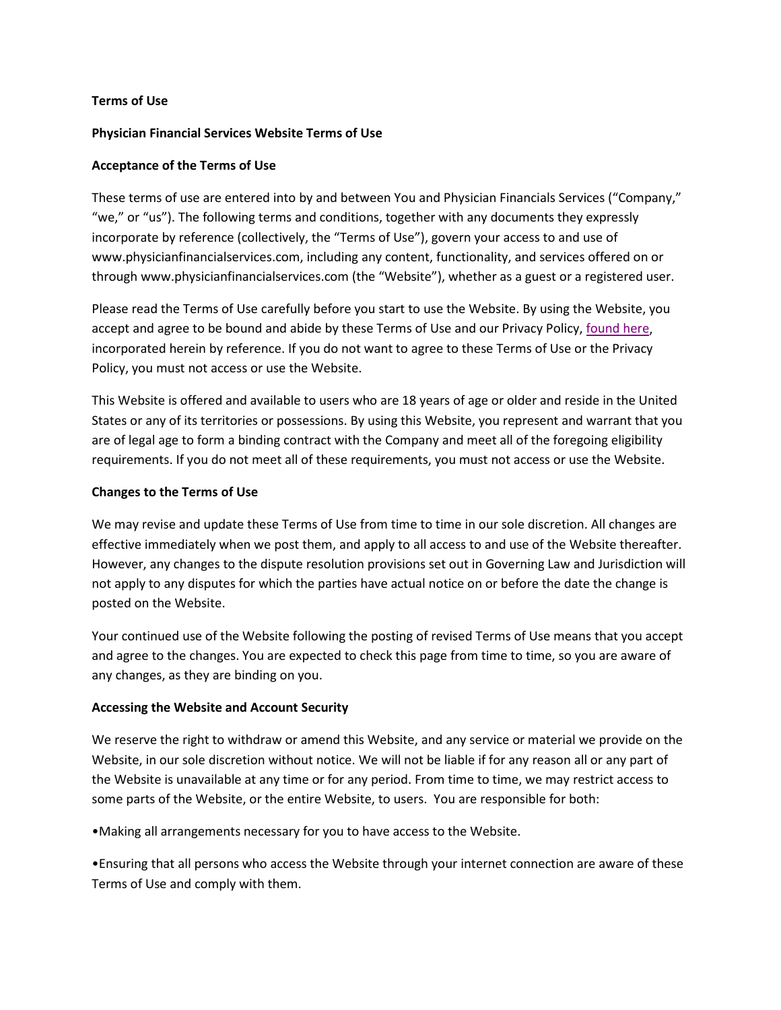### **Terms of Use**

### **Physician Financial Services Website Terms of Use**

### **Acceptance of the Terms of Use**

These terms of use are entered into by and between You and Physician Financials Services ("Company," "we," or "us"). The following terms and conditions, together with any documents they expressly incorporate by reference (collectively, the "Terms of Use"), govern your access to and use of www.physicianfinancialservices.com, including any content, functionality, and services offered on or through www.physicianfinancialservices.com (the "Website"), whether as a guest or a registered user.

Please read the Terms of Use carefully before you start to use the Website. By using the Website, you accept and agree to be bound and abide by these Terms of Use and our Privacy Policy[, found here,](https://www.physicianfinancialservices.com/privacy.cfm) incorporated herein by reference. If you do not want to agree to these Terms of Use or the Privacy Policy, you must not access or use the Website.

This Website is offered and available to users who are 18 years of age or older and reside in the United States or any of its territories or possessions. By using this Website, you represent and warrant that you are of legal age to form a binding contract with the Company and meet all of the foregoing eligibility requirements. If you do not meet all of these requirements, you must not access or use the Website.

### **Changes to the Terms of Use**

We may revise and update these Terms of Use from time to time in our sole discretion. All changes are effective immediately when we post them, and apply to all access to and use of the Website thereafter. However, any changes to the dispute resolution provisions set out in Governing Law and Jurisdiction will not apply to any disputes for which the parties have actual notice on or before the date the change is posted on the Website.

Your continued use of the Website following the posting of revised Terms of Use means that you accept and agree to the changes. You are expected to check this page from time to time, so you are aware of any changes, as they are binding on you.

### **Accessing the Website and Account Security**

We reserve the right to withdraw or amend this Website, and any service or material we provide on the Website, in our sole discretion without notice. We will not be liable if for any reason all or any part of the Website is unavailable at any time or for any period. From time to time, we may restrict access to some parts of the Website, or the entire Website, to users. You are responsible for both:

•Making all arrangements necessary for you to have access to the Website.

•Ensuring that all persons who access the Website through your internet connection are aware of these Terms of Use and comply with them.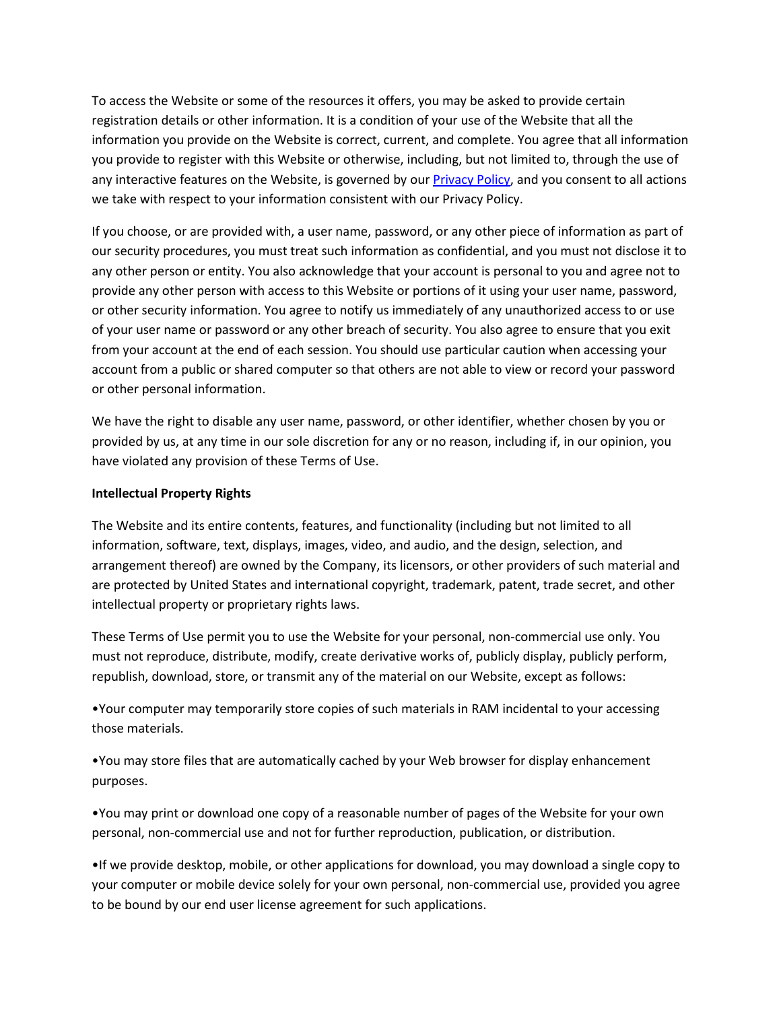To access the Website or some of the resources it offers, you may be asked to provide certain registration details or other information. It is a condition of your use of the Website that all the information you provide on the Website is correct, current, and complete. You agree that all information you provide to register with this Website or otherwise, including, but not limited to, through the use of any interactive features on the Website, is governed by ou[r Privacy Policy,](https://www.physicianfinancialservices.com/privacy.cfm) and you consent to all actions we take with respect to your information consistent with our Privacy Policy.

If you choose, or are provided with, a user name, password, or any other piece of information as part of our security procedures, you must treat such information as confidential, and you must not disclose it to any other person or entity. You also acknowledge that your account is personal to you and agree not to provide any other person with access to this Website or portions of it using your user name, password, or other security information. You agree to notify us immediately of any unauthorized access to or use of your user name or password or any other breach of security. You also agree to ensure that you exit from your account at the end of each session. You should use particular caution when accessing your account from a public or shared computer so that others are not able to view or record your password or other personal information.

We have the right to disable any user name, password, or other identifier, whether chosen by you or provided by us, at any time in our sole discretion for any or no reason, including if, in our opinion, you have violated any provision of these Terms of Use.

#### **Intellectual Property Rights**

The Website and its entire contents, features, and functionality (including but not limited to all information, software, text, displays, images, video, and audio, and the design, selection, and arrangement thereof) are owned by the Company, its licensors, or other providers of such material and are protected by United States and international copyright, trademark, patent, trade secret, and other intellectual property or proprietary rights laws.

These Terms of Use permit you to use the Website for your personal, non-commercial use only. You must not reproduce, distribute, modify, create derivative works of, publicly display, publicly perform, republish, download, store, or transmit any of the material on our Website, except as follows:

•Your computer may temporarily store copies of such materials in RAM incidental to your accessing those materials.

•You may store files that are automatically cached by your Web browser for display enhancement purposes.

•You may print or download one copy of a reasonable number of pages of the Website for your own personal, non-commercial use and not for further reproduction, publication, or distribution.

•If we provide desktop, mobile, or other applications for download, you may download a single copy to your computer or mobile device solely for your own personal, non-commercial use, provided you agree to be bound by our end user license agreement for such applications.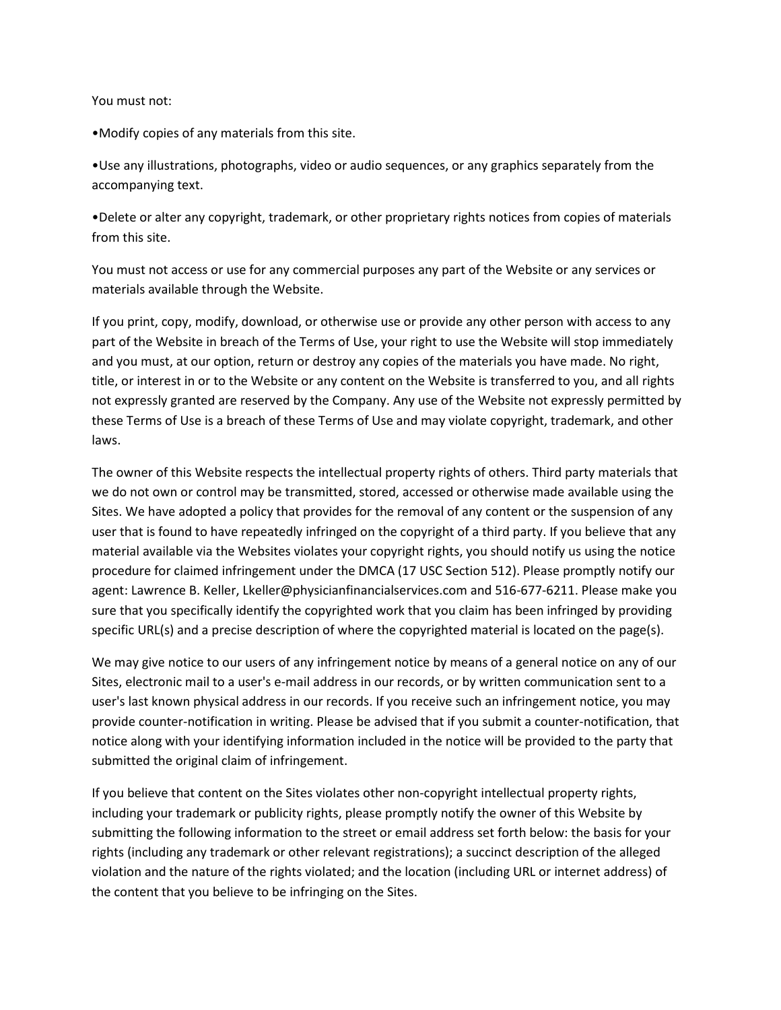#### You must not:

•Modify copies of any materials from this site.

•Use any illustrations, photographs, video or audio sequences, or any graphics separately from the accompanying text.

•Delete or alter any copyright, trademark, or other proprietary rights notices from copies of materials from this site.

You must not access or use for any commercial purposes any part of the Website or any services or materials available through the Website.

If you print, copy, modify, download, or otherwise use or provide any other person with access to any part of the Website in breach of the Terms of Use, your right to use the Website will stop immediately and you must, at our option, return or destroy any copies of the materials you have made. No right, title, or interest in or to the Website or any content on the Website is transferred to you, and all rights not expressly granted are reserved by the Company. Any use of the Website not expressly permitted by these Terms of Use is a breach of these Terms of Use and may violate copyright, trademark, and other laws.

The owner of this Website respects the intellectual property rights of others. Third party materials that we do not own or control may be transmitted, stored, accessed or otherwise made available using the Sites. We have adopted a policy that provides for the removal of any content or the suspension of any user that is found to have repeatedly infringed on the copyright of a third party. If you believe that any material available via the Websites violates your copyright rights, you should notify us using the notice procedure for claimed infringement under the DMCA (17 USC Section 512). Please promptly notify our agent: Lawrence B. Keller, Lkeller@physicianfinancialservices.com and 516-677-6211. Please make you sure that you specifically identify the copyrighted work that you claim has been infringed by providing specific URL(s) and a precise description of where the copyrighted material is located on the page(s).

We may give notice to our users of any infringement notice by means of a general notice on any of our Sites, electronic mail to a user's e-mail address in our records, or by written communication sent to a user's last known physical address in our records. If you receive such an infringement notice, you may provide counter-notification in writing. Please be advised that if you submit a counter-notification, that notice along with your identifying information included in the notice will be provided to the party that submitted the original claim of infringement.

If you believe that content on the Sites violates other non-copyright intellectual property rights, including your trademark or publicity rights, please promptly notify the owner of this Website by submitting the following information to the street or email address set forth below: the basis for your rights (including any trademark or other relevant registrations); a succinct description of the alleged violation and the nature of the rights violated; and the location (including URL or internet address) of the content that you believe to be infringing on the Sites.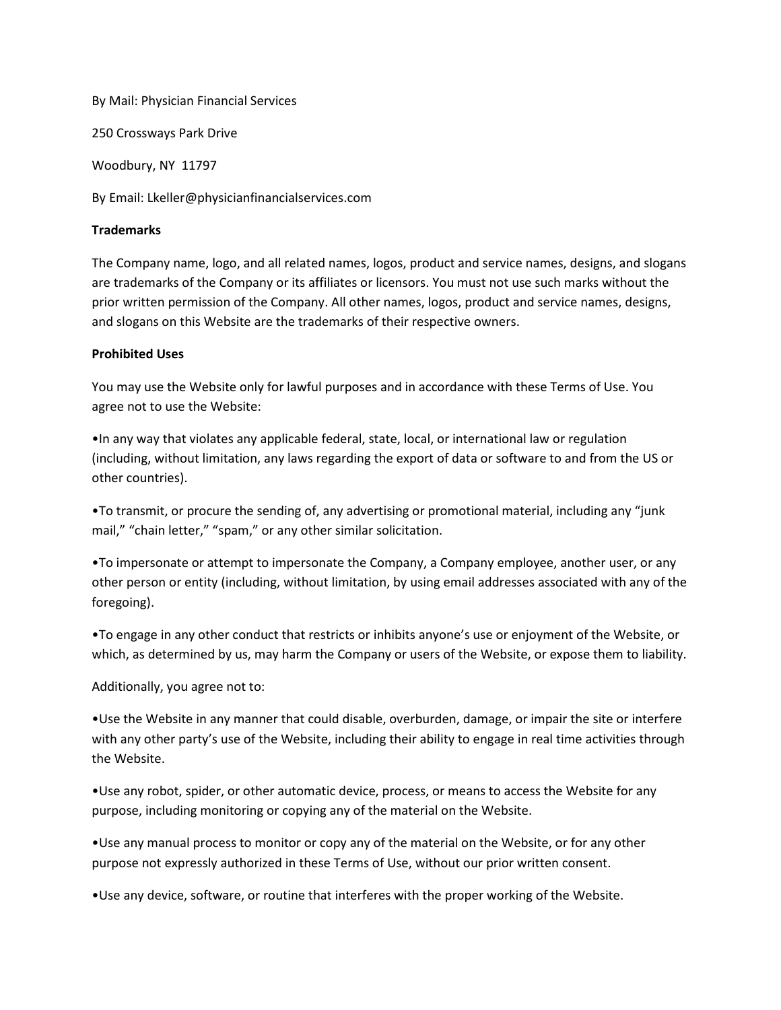By Mail: Physician Financial Services

250 Crossways Park Drive

Woodbury, NY 11797

By Email: Lkeller@physicianfinancialservices.com

### **Trademarks**

The Company name, logo, and all related names, logos, product and service names, designs, and slogans are trademarks of the Company or its affiliates or licensors. You must not use such marks without the prior written permission of the Company. All other names, logos, product and service names, designs, and slogans on this Website are the trademarks of their respective owners.

### **Prohibited Uses**

You may use the Website only for lawful purposes and in accordance with these Terms of Use. You agree not to use the Website:

•In any way that violates any applicable federal, state, local, or international law or regulation (including, without limitation, any laws regarding the export of data or software to and from the US or other countries).

•To transmit, or procure the sending of, any advertising or promotional material, including any "junk mail," "chain letter," "spam," or any other similar solicitation.

•To impersonate or attempt to impersonate the Company, a Company employee, another user, or any other person or entity (including, without limitation, by using email addresses associated with any of the foregoing).

•To engage in any other conduct that restricts or inhibits anyone's use or enjoyment of the Website, or which, as determined by us, may harm the Company or users of the Website, or expose them to liability.

Additionally, you agree not to:

•Use the Website in any manner that could disable, overburden, damage, or impair the site or interfere with any other party's use of the Website, including their ability to engage in real time activities through the Website.

•Use any robot, spider, or other automatic device, process, or means to access the Website for any purpose, including monitoring or copying any of the material on the Website.

•Use any manual process to monitor or copy any of the material on the Website, or for any other purpose not expressly authorized in these Terms of Use, without our prior written consent.

•Use any device, software, or routine that interferes with the proper working of the Website.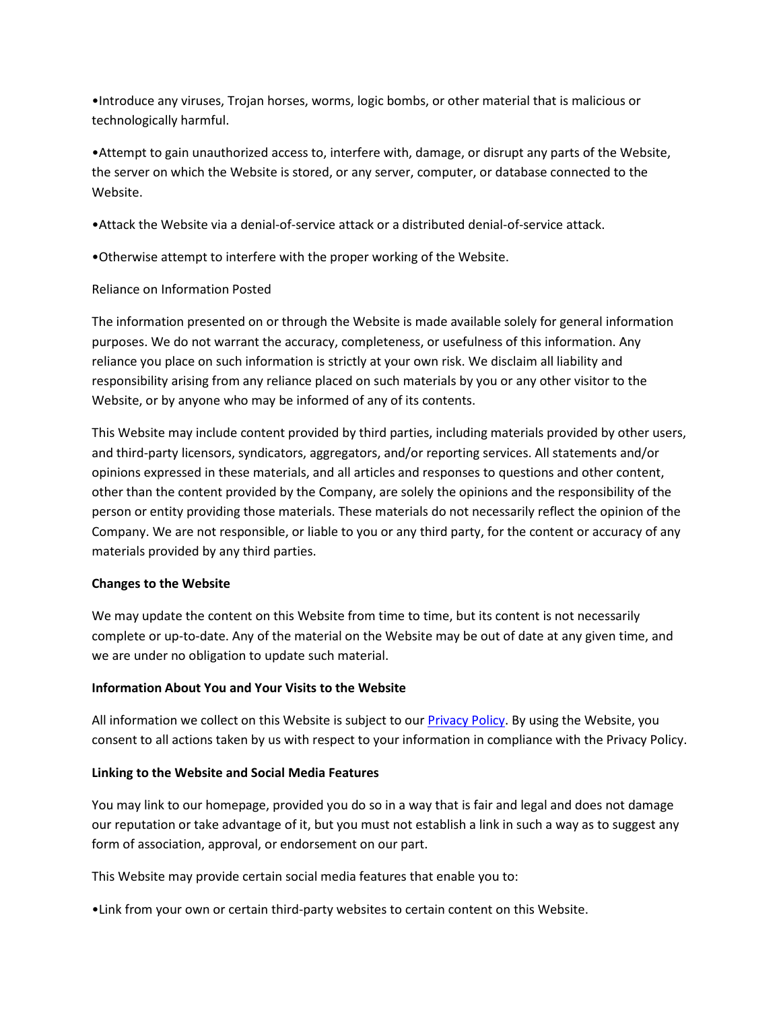•Introduce any viruses, Trojan horses, worms, logic bombs, or other material that is malicious or technologically harmful.

•Attempt to gain unauthorized access to, interfere with, damage, or disrupt any parts of the Website, the server on which the Website is stored, or any server, computer, or database connected to the Website.

•Attack the Website via a denial-of-service attack or a distributed denial-of-service attack.

•Otherwise attempt to interfere with the proper working of the Website.

# Reliance on Information Posted

The information presented on or through the Website is made available solely for general information purposes. We do not warrant the accuracy, completeness, or usefulness of this information. Any reliance you place on such information is strictly at your own risk. We disclaim all liability and responsibility arising from any reliance placed on such materials by you or any other visitor to the Website, or by anyone who may be informed of any of its contents.

This Website may include content provided by third parties, including materials provided by other users, and third-party licensors, syndicators, aggregators, and/or reporting services. All statements and/or opinions expressed in these materials, and all articles and responses to questions and other content, other than the content provided by the Company, are solely the opinions and the responsibility of the person or entity providing those materials. These materials do not necessarily reflect the opinion of the Company. We are not responsible, or liable to you or any third party, for the content or accuracy of any materials provided by any third parties.

### **Changes to the Website**

We may update the content on this Website from time to time, but its content is not necessarily complete or up-to-date. Any of the material on the Website may be out of date at any given time, and we are under no obligation to update such material.

### **Information About You and Your Visits to the Website**

All information we collect on this Website is subject to our **Privacy Policy**. By using the Website, you consent to all actions taken by us with respect to your information in compliance with the Privacy Policy.

# **Linking to the Website and Social Media Features**

You may link to our homepage, provided you do so in a way that is fair and legal and does not damage our reputation or take advantage of it, but you must not establish a link in such a way as to suggest any form of association, approval, or endorsement on our part.

This Website may provide certain social media features that enable you to:

•Link from your own or certain third-party websites to certain content on this Website.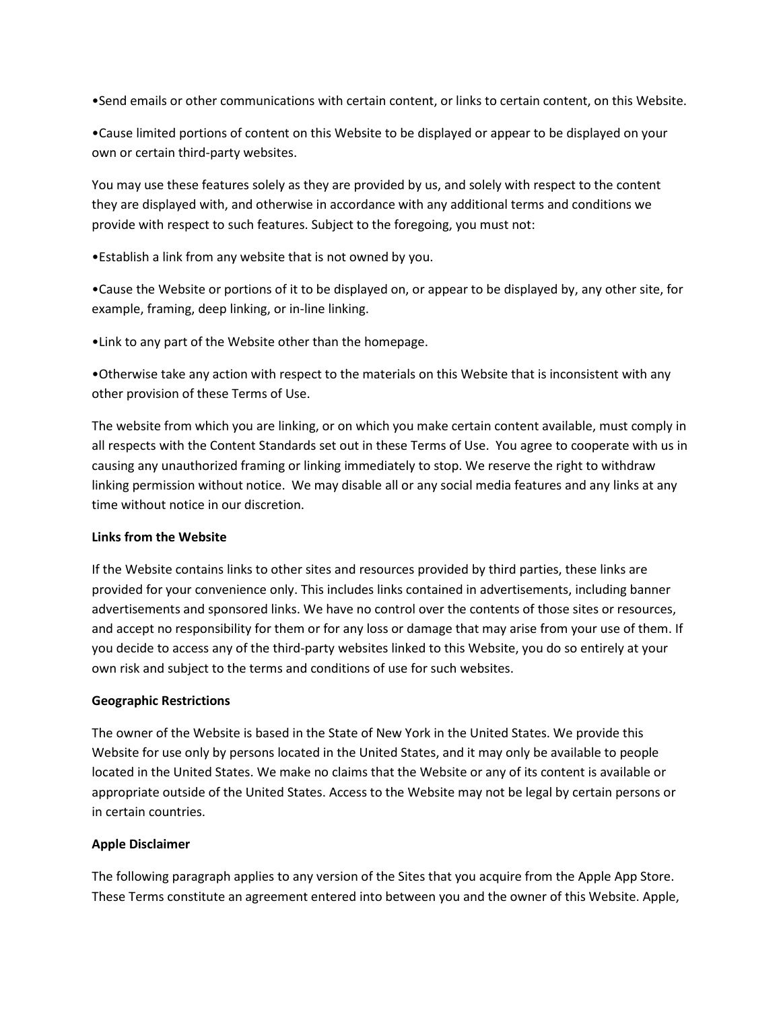•Send emails or other communications with certain content, or links to certain content, on this Website.

•Cause limited portions of content on this Website to be displayed or appear to be displayed on your own or certain third-party websites.

You may use these features solely as they are provided by us, and solely with respect to the content they are displayed with, and otherwise in accordance with any additional terms and conditions we provide with respect to such features. Subject to the foregoing, you must not:

•Establish a link from any website that is not owned by you.

•Cause the Website or portions of it to be displayed on, or appear to be displayed by, any other site, for example, framing, deep linking, or in-line linking.

•Link to any part of the Website other than the homepage.

•Otherwise take any action with respect to the materials on this Website that is inconsistent with any other provision of these Terms of Use.

The website from which you are linking, or on which you make certain content available, must comply in all respects with the Content Standards set out in these Terms of Use. You agree to cooperate with us in causing any unauthorized framing or linking immediately to stop. We reserve the right to withdraw linking permission without notice. We may disable all or any social media features and any links at any time without notice in our discretion.

### **Links from the Website**

If the Website contains links to other sites and resources provided by third parties, these links are provided for your convenience only. This includes links contained in advertisements, including banner advertisements and sponsored links. We have no control over the contents of those sites or resources, and accept no responsibility for them or for any loss or damage that may arise from your use of them. If you decide to access any of the third-party websites linked to this Website, you do so entirely at your own risk and subject to the terms and conditions of use for such websites.

#### **Geographic Restrictions**

The owner of the Website is based in the State of New York in the United States. We provide this Website for use only by persons located in the United States, and it may only be available to people located in the United States. We make no claims that the Website or any of its content is available or appropriate outside of the United States. Access to the Website may not be legal by certain persons or in certain countries.

#### **Apple Disclaimer**

The following paragraph applies to any version of the Sites that you acquire from the Apple App Store. These Terms constitute an agreement entered into between you and the owner of this Website. Apple,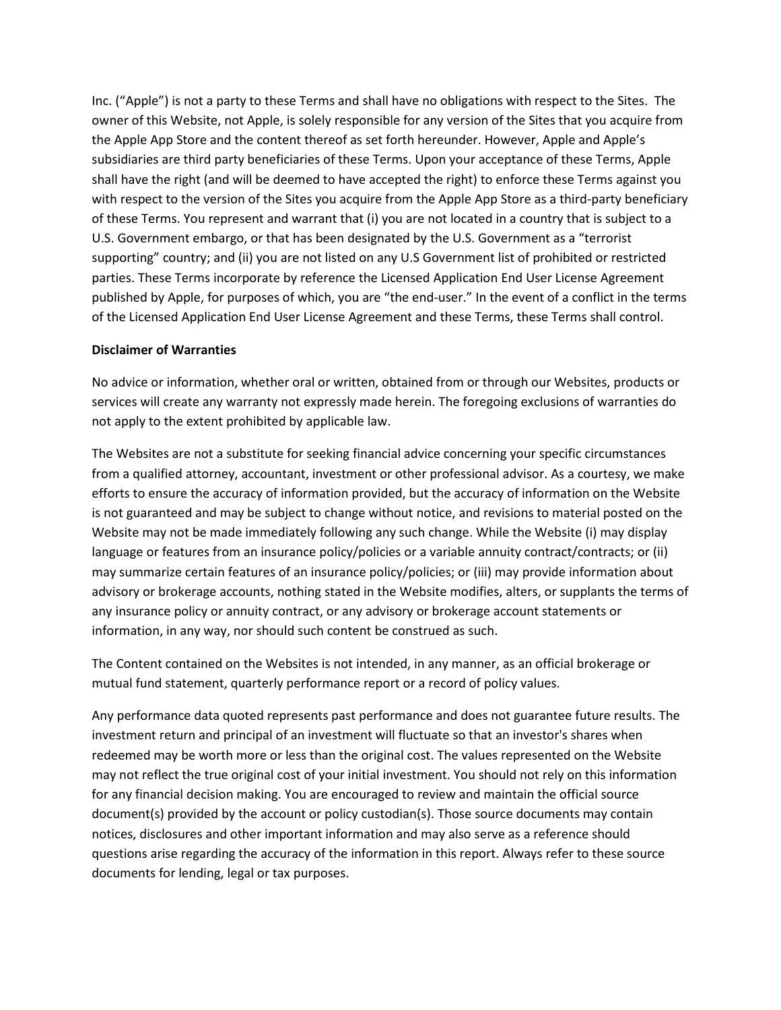Inc. ("Apple") is not a party to these Terms and shall have no obligations with respect to the Sites. The owner of this Website, not Apple, is solely responsible for any version of the Sites that you acquire from the Apple App Store and the content thereof as set forth hereunder. However, Apple and Apple's subsidiaries are third party beneficiaries of these Terms. Upon your acceptance of these Terms, Apple shall have the right (and will be deemed to have accepted the right) to enforce these Terms against you with respect to the version of the Sites you acquire from the Apple App Store as a third-party beneficiary of these Terms. You represent and warrant that (i) you are not located in a country that is subject to a U.S. Government embargo, or that has been designated by the U.S. Government as a "terrorist supporting" country; and (ii) you are not listed on any U.S Government list of prohibited or restricted parties. These Terms incorporate by reference the Licensed Application End User License Agreement published by Apple, for purposes of which, you are "the end-user." In the event of a conflict in the terms of the Licensed Application End User License Agreement and these Terms, these Terms shall control.

### **Disclaimer of Warranties**

No advice or information, whether oral or written, obtained from or through our Websites, products or services will create any warranty not expressly made herein. The foregoing exclusions of warranties do not apply to the extent prohibited by applicable law.

The Websites are not a substitute for seeking financial advice concerning your specific circumstances from a qualified attorney, accountant, investment or other professional advisor. As a courtesy, we make efforts to ensure the accuracy of information provided, but the accuracy of information on the Website is not guaranteed and may be subject to change without notice, and revisions to material posted on the Website may not be made immediately following any such change. While the Website (i) may display language or features from an insurance policy/policies or a variable annuity contract/contracts; or (ii) may summarize certain features of an insurance policy/policies; or (iii) may provide information about advisory or brokerage accounts, nothing stated in the Website modifies, alters, or supplants the terms of any insurance policy or annuity contract, or any advisory or brokerage account statements or information, in any way, nor should such content be construed as such.

The Content contained on the Websites is not intended, in any manner, as an official brokerage or mutual fund statement, quarterly performance report or a record of policy values.

Any performance data quoted represents past performance and does not guarantee future results. The investment return and principal of an investment will fluctuate so that an investor's shares when redeemed may be worth more or less than the original cost. The values represented on the Website may not reflect the true original cost of your initial investment. You should not rely on this information for any financial decision making. You are encouraged to review and maintain the official source document(s) provided by the account or policy custodian(s). Those source documents may contain notices, disclosures and other important information and may also serve as a reference should questions arise regarding the accuracy of the information in this report. Always refer to these source documents for lending, legal or tax purposes.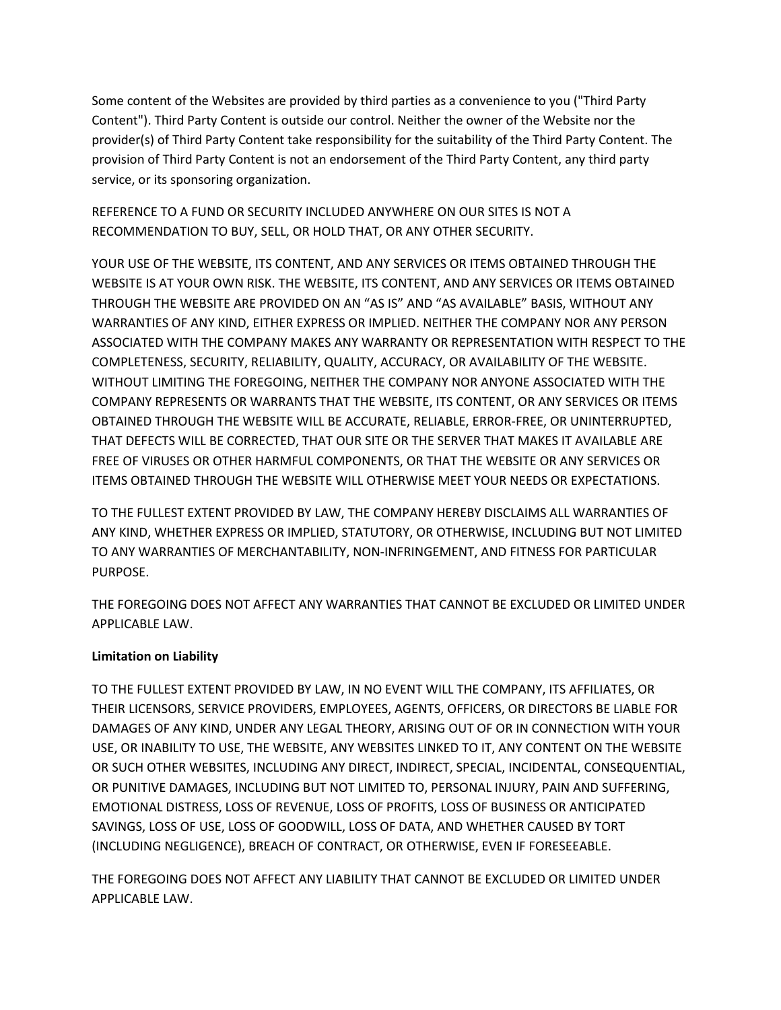Some content of the Websites are provided by third parties as a convenience to you ("Third Party Content"). Third Party Content is outside our control. Neither the owner of the Website nor the provider(s) of Third Party Content take responsibility for the suitability of the Third Party Content. The provision of Third Party Content is not an endorsement of the Third Party Content, any third party service, or its sponsoring organization.

REFERENCE TO A FUND OR SECURITY INCLUDED ANYWHERE ON OUR SITES IS NOT A RECOMMENDATION TO BUY, SELL, OR HOLD THAT, OR ANY OTHER SECURITY.

YOUR USE OF THE WEBSITE, ITS CONTENT, AND ANY SERVICES OR ITEMS OBTAINED THROUGH THE WEBSITE IS AT YOUR OWN RISK. THE WEBSITE, ITS CONTENT, AND ANY SERVICES OR ITEMS OBTAINED THROUGH THE WEBSITE ARE PROVIDED ON AN "AS IS" AND "AS AVAILABLE" BASIS, WITHOUT ANY WARRANTIES OF ANY KIND, EITHER EXPRESS OR IMPLIED. NEITHER THE COMPANY NOR ANY PERSON ASSOCIATED WITH THE COMPANY MAKES ANY WARRANTY OR REPRESENTATION WITH RESPECT TO THE COMPLETENESS, SECURITY, RELIABILITY, QUALITY, ACCURACY, OR AVAILABILITY OF THE WEBSITE. WITHOUT LIMITING THE FOREGOING, NEITHER THE COMPANY NOR ANYONE ASSOCIATED WITH THE COMPANY REPRESENTS OR WARRANTS THAT THE WEBSITE, ITS CONTENT, OR ANY SERVICES OR ITEMS OBTAINED THROUGH THE WEBSITE WILL BE ACCURATE, RELIABLE, ERROR-FREE, OR UNINTERRUPTED, THAT DEFECTS WILL BE CORRECTED, THAT OUR SITE OR THE SERVER THAT MAKES IT AVAILABLE ARE FREE OF VIRUSES OR OTHER HARMFUL COMPONENTS, OR THAT THE WEBSITE OR ANY SERVICES OR ITEMS OBTAINED THROUGH THE WEBSITE WILL OTHERWISE MEET YOUR NEEDS OR EXPECTATIONS.

TO THE FULLEST EXTENT PROVIDED BY LAW, THE COMPANY HEREBY DISCLAIMS ALL WARRANTIES OF ANY KIND, WHETHER EXPRESS OR IMPLIED, STATUTORY, OR OTHERWISE, INCLUDING BUT NOT LIMITED TO ANY WARRANTIES OF MERCHANTABILITY, NON-INFRINGEMENT, AND FITNESS FOR PARTICULAR PURPOSE.

THE FOREGOING DOES NOT AFFECT ANY WARRANTIES THAT CANNOT BE EXCLUDED OR LIMITED UNDER APPLICABLE LAW.

# **Limitation on Liability**

TO THE FULLEST EXTENT PROVIDED BY LAW, IN NO EVENT WILL THE COMPANY, ITS AFFILIATES, OR THEIR LICENSORS, SERVICE PROVIDERS, EMPLOYEES, AGENTS, OFFICERS, OR DIRECTORS BE LIABLE FOR DAMAGES OF ANY KIND, UNDER ANY LEGAL THEORY, ARISING OUT OF OR IN CONNECTION WITH YOUR USE, OR INABILITY TO USE, THE WEBSITE, ANY WEBSITES LINKED TO IT, ANY CONTENT ON THE WEBSITE OR SUCH OTHER WEBSITES, INCLUDING ANY DIRECT, INDIRECT, SPECIAL, INCIDENTAL, CONSEQUENTIAL, OR PUNITIVE DAMAGES, INCLUDING BUT NOT LIMITED TO, PERSONAL INJURY, PAIN AND SUFFERING, EMOTIONAL DISTRESS, LOSS OF REVENUE, LOSS OF PROFITS, LOSS OF BUSINESS OR ANTICIPATED SAVINGS, LOSS OF USE, LOSS OF GOODWILL, LOSS OF DATA, AND WHETHER CAUSED BY TORT (INCLUDING NEGLIGENCE), BREACH OF CONTRACT, OR OTHERWISE, EVEN IF FORESEEABLE.

THE FOREGOING DOES NOT AFFECT ANY LIABILITY THAT CANNOT BE EXCLUDED OR LIMITED UNDER APPLICABLE LAW.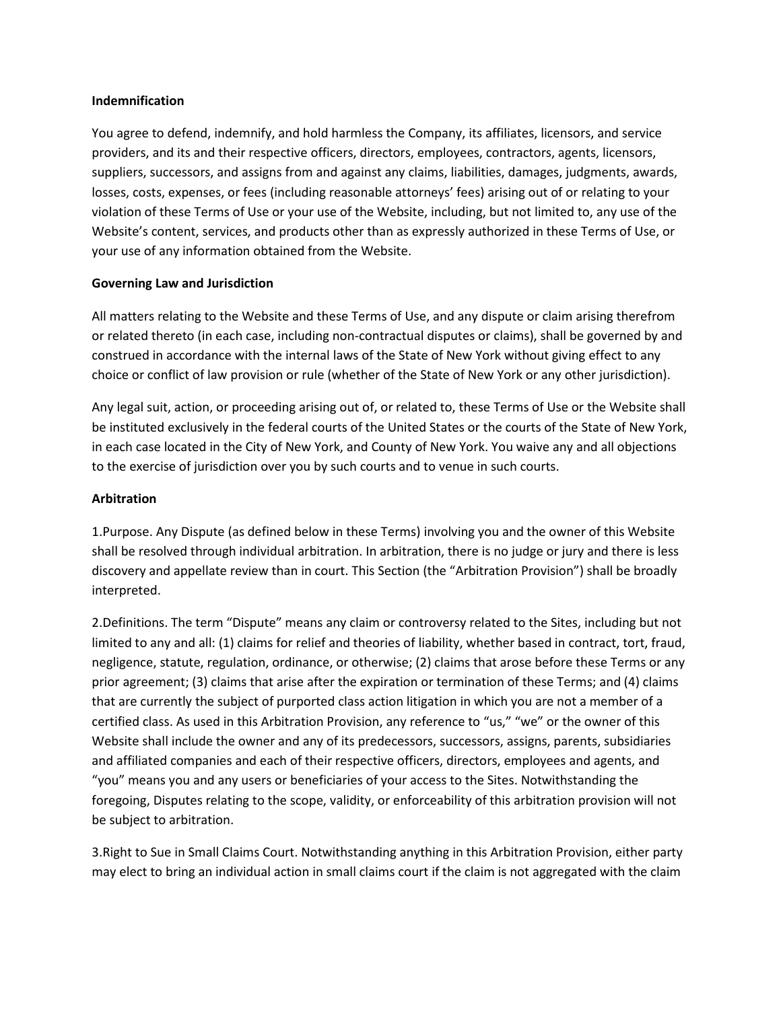#### **Indemnification**

You agree to defend, indemnify, and hold harmless the Company, its affiliates, licensors, and service providers, and its and their respective officers, directors, employees, contractors, agents, licensors, suppliers, successors, and assigns from and against any claims, liabilities, damages, judgments, awards, losses, costs, expenses, or fees (including reasonable attorneys' fees) arising out of or relating to your violation of these Terms of Use or your use of the Website, including, but not limited to, any use of the Website's content, services, and products other than as expressly authorized in these Terms of Use, or your use of any information obtained from the Website.

### **Governing Law and Jurisdiction**

All matters relating to the Website and these Terms of Use, and any dispute or claim arising therefrom or related thereto (in each case, including non-contractual disputes or claims), shall be governed by and construed in accordance with the internal laws of the State of New York without giving effect to any choice or conflict of law provision or rule (whether of the State of New York or any other jurisdiction).

Any legal suit, action, or proceeding arising out of, or related to, these Terms of Use or the Website shall be instituted exclusively in the federal courts of the United States or the courts of the State of New York, in each case located in the City of New York, and County of New York. You waive any and all objections to the exercise of jurisdiction over you by such courts and to venue in such courts.

### **Arbitration**

1.Purpose. Any Dispute (as defined below in these Terms) involving you and the owner of this Website shall be resolved through individual arbitration. In arbitration, there is no judge or jury and there is less discovery and appellate review than in court. This Section (the "Arbitration Provision") shall be broadly interpreted.

2.Definitions. The term "Dispute" means any claim or controversy related to the Sites, including but not limited to any and all: (1) claims for relief and theories of liability, whether based in contract, tort, fraud, negligence, statute, regulation, ordinance, or otherwise; (2) claims that arose before these Terms or any prior agreement; (3) claims that arise after the expiration or termination of these Terms; and (4) claims that are currently the subject of purported class action litigation in which you are not a member of a certified class. As used in this Arbitration Provision, any reference to "us," "we" or the owner of this Website shall include the owner and any of its predecessors, successors, assigns, parents, subsidiaries and affiliated companies and each of their respective officers, directors, employees and agents, and "you" means you and any users or beneficiaries of your access to the Sites. Notwithstanding the foregoing, Disputes relating to the scope, validity, or enforceability of this arbitration provision will not be subject to arbitration.

3.Right to Sue in Small Claims Court. Notwithstanding anything in this Arbitration Provision, either party may elect to bring an individual action in small claims court if the claim is not aggregated with the claim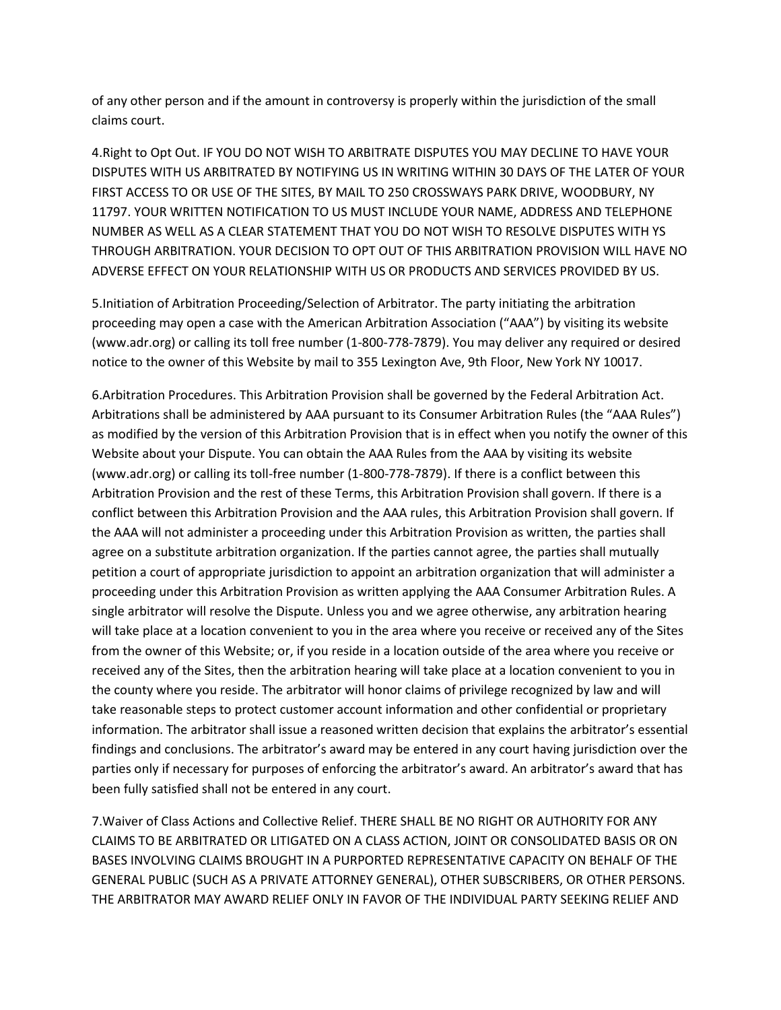of any other person and if the amount in controversy is properly within the jurisdiction of the small claims court.

4.Right to Opt Out. IF YOU DO NOT WISH TO ARBITRATE DISPUTES YOU MAY DECLINE TO HAVE YOUR DISPUTES WITH US ARBITRATED BY NOTIFYING US IN WRITING WITHIN 30 DAYS OF THE LATER OF YOUR FIRST ACCESS TO OR USE OF THE SITES, BY MAIL TO 250 CROSSWAYS PARK DRIVE, WOODBURY, NY 11797. YOUR WRITTEN NOTIFICATION TO US MUST INCLUDE YOUR NAME, ADDRESS AND TELEPHONE NUMBER AS WELL AS A CLEAR STATEMENT THAT YOU DO NOT WISH TO RESOLVE DISPUTES WITH YS THROUGH ARBITRATION. YOUR DECISION TO OPT OUT OF THIS ARBITRATION PROVISION WILL HAVE NO ADVERSE EFFECT ON YOUR RELATIONSHIP WITH US OR PRODUCTS AND SERVICES PROVIDED BY US.

5.Initiation of Arbitration Proceeding/Selection of Arbitrator. The party initiating the arbitration proceeding may open a case with the American Arbitration Association ("AAA") by visiting its website (www.adr.org) or calling its toll free number (1-800-778-7879). You may deliver any required or desired notice to the owner of this Website by mail to 355 Lexington Ave, 9th Floor, New York NY 10017.

6.Arbitration Procedures. This Arbitration Provision shall be governed by the Federal Arbitration Act. Arbitrations shall be administered by AAA pursuant to its Consumer Arbitration Rules (the "AAA Rules") as modified by the version of this Arbitration Provision that is in effect when you notify the owner of this Website about your Dispute. You can obtain the AAA Rules from the AAA by visiting its website (www.adr.org) or calling its toll-free number (1-800-778-7879). If there is a conflict between this Arbitration Provision and the rest of these Terms, this Arbitration Provision shall govern. If there is a conflict between this Arbitration Provision and the AAA rules, this Arbitration Provision shall govern. If the AAA will not administer a proceeding under this Arbitration Provision as written, the parties shall agree on a substitute arbitration organization. If the parties cannot agree, the parties shall mutually petition a court of appropriate jurisdiction to appoint an arbitration organization that will administer a proceeding under this Arbitration Provision as written applying the AAA Consumer Arbitration Rules. A single arbitrator will resolve the Dispute. Unless you and we agree otherwise, any arbitration hearing will take place at a location convenient to you in the area where you receive or received any of the Sites from the owner of this Website; or, if you reside in a location outside of the area where you receive or received any of the Sites, then the arbitration hearing will take place at a location convenient to you in the county where you reside. The arbitrator will honor claims of privilege recognized by law and will take reasonable steps to protect customer account information and other confidential or proprietary information. The arbitrator shall issue a reasoned written decision that explains the arbitrator's essential findings and conclusions. The arbitrator's award may be entered in any court having jurisdiction over the parties only if necessary for purposes of enforcing the arbitrator's award. An arbitrator's award that has been fully satisfied shall not be entered in any court.

7.Waiver of Class Actions and Collective Relief. THERE SHALL BE NO RIGHT OR AUTHORITY FOR ANY CLAIMS TO BE ARBITRATED OR LITIGATED ON A CLASS ACTION, JOINT OR CONSOLIDATED BASIS OR ON BASES INVOLVING CLAIMS BROUGHT IN A PURPORTED REPRESENTATIVE CAPACITY ON BEHALF OF THE GENERAL PUBLIC (SUCH AS A PRIVATE ATTORNEY GENERAL), OTHER SUBSCRIBERS, OR OTHER PERSONS. THE ARBITRATOR MAY AWARD RELIEF ONLY IN FAVOR OF THE INDIVIDUAL PARTY SEEKING RELIEF AND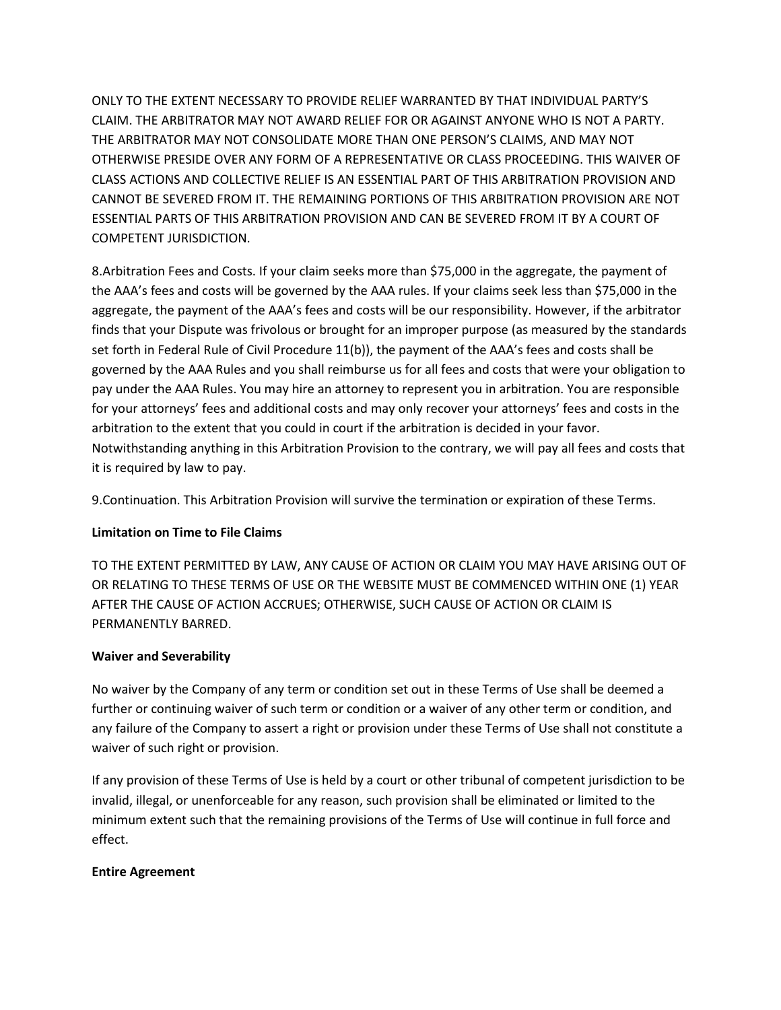ONLY TO THE EXTENT NECESSARY TO PROVIDE RELIEF WARRANTED BY THAT INDIVIDUAL PARTY'S CLAIM. THE ARBITRATOR MAY NOT AWARD RELIEF FOR OR AGAINST ANYONE WHO IS NOT A PARTY. THE ARBITRATOR MAY NOT CONSOLIDATE MORE THAN ONE PERSON'S CLAIMS, AND MAY NOT OTHERWISE PRESIDE OVER ANY FORM OF A REPRESENTATIVE OR CLASS PROCEEDING. THIS WAIVER OF CLASS ACTIONS AND COLLECTIVE RELIEF IS AN ESSENTIAL PART OF THIS ARBITRATION PROVISION AND CANNOT BE SEVERED FROM IT. THE REMAINING PORTIONS OF THIS ARBITRATION PROVISION ARE NOT ESSENTIAL PARTS OF THIS ARBITRATION PROVISION AND CAN BE SEVERED FROM IT BY A COURT OF COMPETENT JURISDICTION.

8.Arbitration Fees and Costs. If your claim seeks more than \$75,000 in the aggregate, the payment of the AAA's fees and costs will be governed by the AAA rules. If your claims seek less than \$75,000 in the aggregate, the payment of the AAA's fees and costs will be our responsibility. However, if the arbitrator finds that your Dispute was frivolous or brought for an improper purpose (as measured by the standards set forth in Federal Rule of Civil Procedure 11(b)), the payment of the AAA's fees and costs shall be governed by the AAA Rules and you shall reimburse us for all fees and costs that were your obligation to pay under the AAA Rules. You may hire an attorney to represent you in arbitration. You are responsible for your attorneys' fees and additional costs and may only recover your attorneys' fees and costs in the arbitration to the extent that you could in court if the arbitration is decided in your favor. Notwithstanding anything in this Arbitration Provision to the contrary, we will pay all fees and costs that it is required by law to pay.

9.Continuation. This Arbitration Provision will survive the termination or expiration of these Terms.

# **Limitation on Time to File Claims**

TO THE EXTENT PERMITTED BY LAW, ANY CAUSE OF ACTION OR CLAIM YOU MAY HAVE ARISING OUT OF OR RELATING TO THESE TERMS OF USE OR THE WEBSITE MUST BE COMMENCED WITHIN ONE (1) YEAR AFTER THE CAUSE OF ACTION ACCRUES; OTHERWISE, SUCH CAUSE OF ACTION OR CLAIM IS PERMANENTLY BARRED.

### **Waiver and Severability**

No waiver by the Company of any term or condition set out in these Terms of Use shall be deemed a further or continuing waiver of such term or condition or a waiver of any other term or condition, and any failure of the Company to assert a right or provision under these Terms of Use shall not constitute a waiver of such right or provision.

If any provision of these Terms of Use is held by a court or other tribunal of competent jurisdiction to be invalid, illegal, or unenforceable for any reason, such provision shall be eliminated or limited to the minimum extent such that the remaining provisions of the Terms of Use will continue in full force and effect.

### **Entire Agreement**